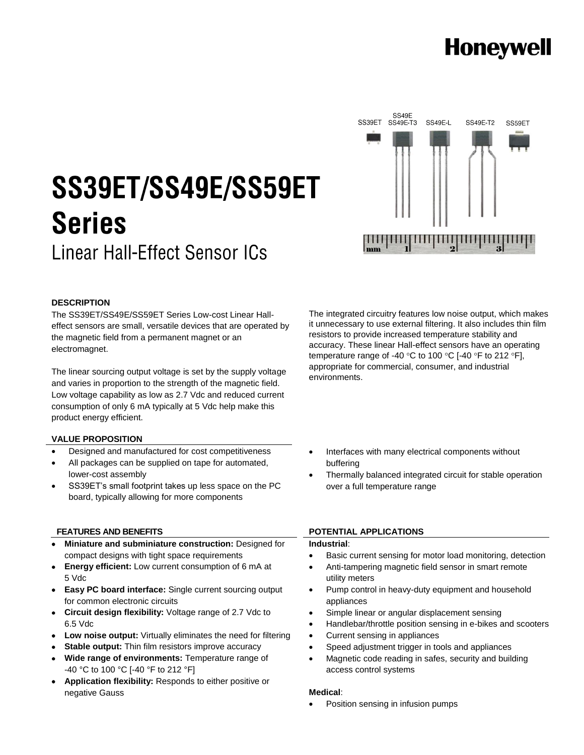## **Honeywell**

# SS39ET/SS49E/SS59ET **Series**

**Linear Hall-Effect Sensor ICs** 



#### **DESCRIPTION**

The SS39ET/SS49E/SS59ET Series Low-cost Linear Halleffect sensors are small, versatile devices that are operated by the magnetic field from a permanent magnet or an electromagnet.

The linear sourcing output voltage is set by the supply voltage and varies in proportion to the strength of the magnetic field. Low voltage capability as low as 2.7 Vdc and reduced current consumption of only 6 mA typically at 5 Vdc help make this product energy efficient.

#### **VALUE PROPOSITION**

- Designed and manufactured for cost competitiveness
- All packages can be supplied on tape for automated, lower-cost assembly
- SS39ET's small footprint takes up less space on the PC board, typically allowing for more components

#### **FEATURES AND BENEFITS**

- **Miniature and subminiature construction:** Designed for compact designs with tight space requirements
- **Energy efficient:** Low current consumption of 6 mA at 5 Vdc
- **Easy PC board interface:** Single current sourcing output for common electronic circuits
- **Circuit design flexibility:** Voltage range of 2.7 Vdc to 6.5 Vdc
- **Low noise output:** Virtually eliminates the need for filtering
- **Stable output:** Thin film resistors improve accuracy
- **Wide range of environments:** Temperature range of -40 °C to 100 °C [-40 °F to 212 °F]
- **Application flexibility:** Responds to either positive or negative Gauss

The integrated circuitry features low noise output, which makes it unnecessary to use external filtering. It also includes thin film resistors to provide increased temperature stability and accuracy. These linear Hall-effect sensors have an operating temperature range of -40 °C to 100 °C [-40 °F to 212 °F], appropriate for commercial, consumer, and industrial environments.

- Interfaces with many electrical components without buffering
- Thermally balanced integrated circuit for stable operation over a full temperature range

#### **POTENTIAL APPLICATIONS**

#### **Industrial**:

- Basic current sensing for motor load monitoring, detection
- Anti-tampering magnetic field sensor in smart remote utility meters
- Pump control in heavy-duty equipment and household appliances
- Simple linear or angular displacement sensing
- Handlebar/throttle position sensing in e-bikes and scooters
- Current sensing in appliances
- Speed adjustment trigger in tools and appliances
- Magnetic code reading in safes, security and building access control systems

#### **Medical**:

Position sensing in infusion pumps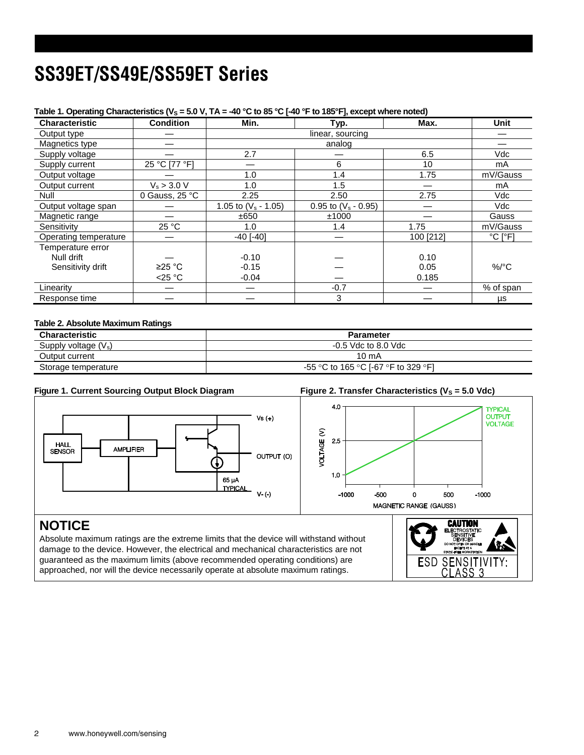### SS39ET/SS49E/SS59ET Series

| Characteristic        | <b>Condition</b> | Min.                   | Typ.                   | Max.      | <b>Unit</b>                  |
|-----------------------|------------------|------------------------|------------------------|-----------|------------------------------|
| Output type           |                  |                        | linear, sourcing       |           |                              |
| Magnetics type        |                  |                        | analog                 |           |                              |
| Supply voltage        |                  | 2.7                    |                        | 6.5       | Vdc                          |
| Supply current        | 25 °C [77 °F]    |                        | 6                      | 10        | mA                           |
| Output voltage        |                  | 1.0                    | 1.4                    | 1.75      | mV/Gauss                     |
| Output current        | $V_s > 3.0 V$    | 1.0                    | 1.5                    |           | mA                           |
| Null                  | 0 Gauss, 25 °C   | 2.25                   | 2.50                   | 2.75      | Vdc                          |
| Output voltage span   |                  | 1.05 to $(V_s - 1.05)$ | 0.95 to $(V_s - 0.95)$ |           | Vdc                          |
| Magnetic range        |                  | ±650                   | ±1000                  |           | Gauss                        |
| Sensitivity           | 25 °C            | 1.0                    | 1.4                    | 1.75      | mV/Gauss                     |
| Operating temperature |                  | $-40$ [ $-40$ ]        |                        | 100 [212] | $^{\circ}$ C [ $^{\circ}$ F] |
| Temperature error     |                  |                        |                        |           |                              |
| Null drift            |                  | $-0.10$                |                        | 0.10      |                              |
| Sensitivity drift     | ≥25 °C           | $-0.15$                |                        | 0.05      | $%$ /°C                      |
|                       | $<$ 25 °C        | $-0.04$                |                        | 0.185     |                              |
| Linearity             |                  |                        | $-0.7$                 |           | % of span                    |
| Response time         |                  |                        | 3                      |           | μs                           |

#### Table 1. Operating Characteristics ( $V_s$  = 5.0 V, TA = -40 °C to 85 °C  $I$ -40 °F to 185 °F], except where noted)

#### **Table 2. Absolute Maximum Ratings**

| <b>Characteristic</b>  | <b>Parameter</b>                    |
|------------------------|-------------------------------------|
| Supply voltage $(V_s)$ | $-0.5$ Vdc to 8.0 Vdc               |
| Output current         | 10 mA                               |
| Storage temperature    | -55 °C to 165 °C [-67 °F to 329 °F] |

#### **Figure 1. Current Sourcing Output Block Diagram Figure 2. Transfer Characteristics (V<sup>S</sup> = 5.0 Vdc)**

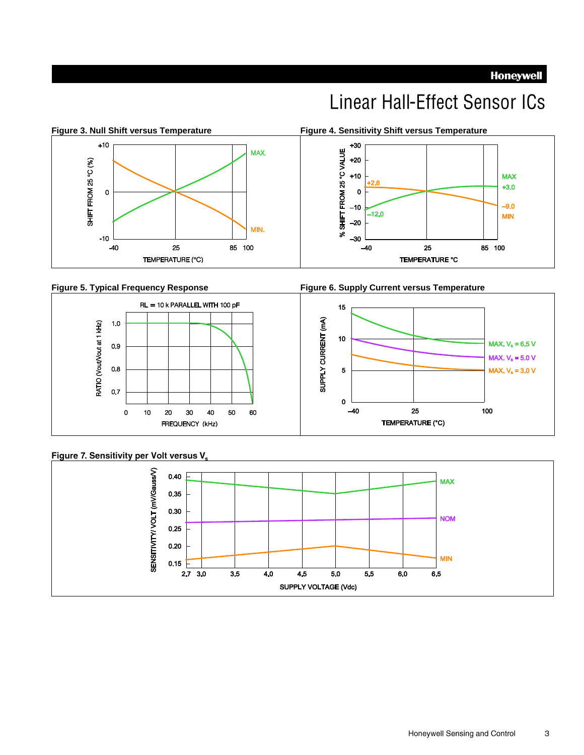**Honeywell** 

### **Linear Hall-Effect Sensor ICs**



#### **Figure 5. Typical Frequency Response**







#### Figure 7. Sensitivity per Volt versus V.



Honeywell Sensing and Control 3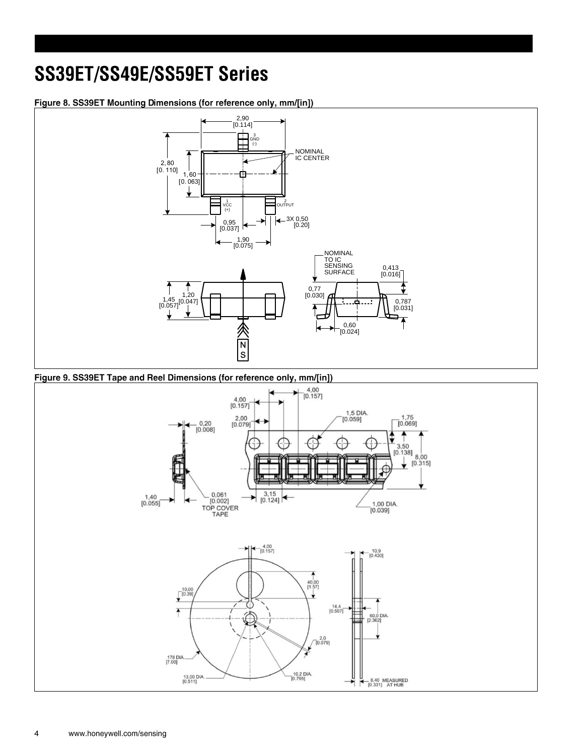### SS39ET/SS49E/SS59ET Series

#### Figure 8. SS39ET Mounting Dimensions (for reference only, mm/[in])



#### Figure 9. SS39ET Tape and Reel Dimensions (for reference only, mm/[in])

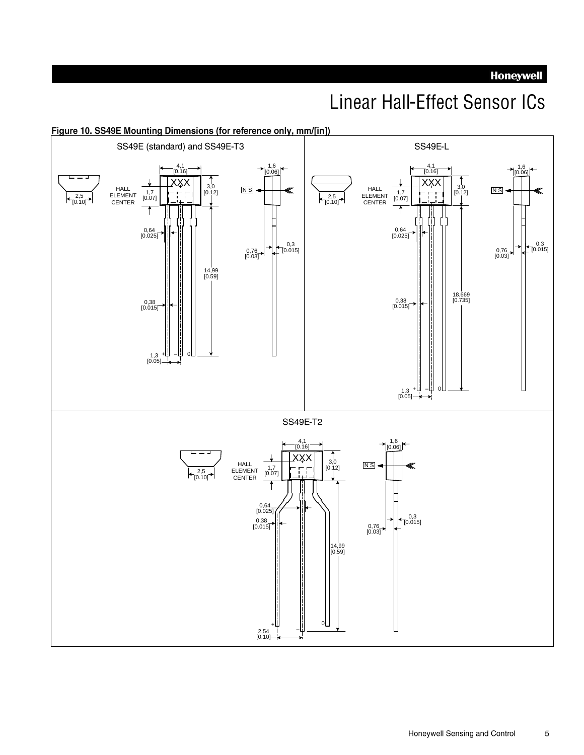**Honeywell** 

### **Linear Hall-Effect Sensor ICs**

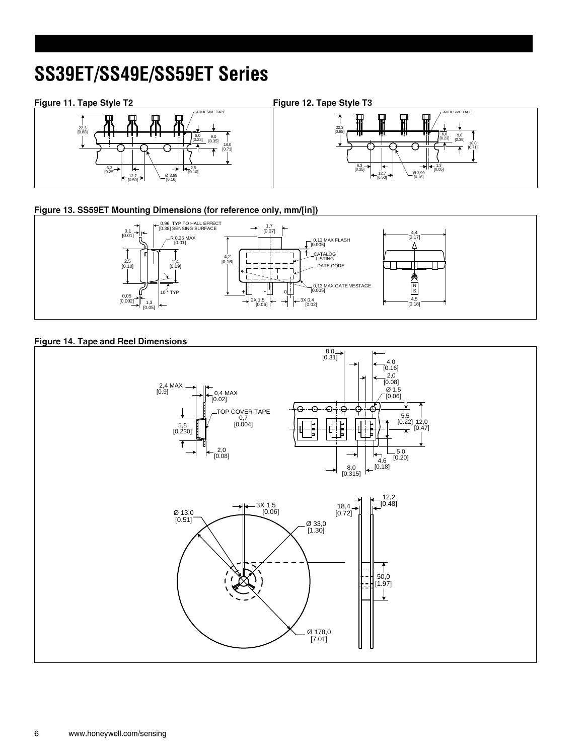### SS39ET/SS49E/SS59ET Series

#### Figure 11. Tape Style T2





#### Figure 13. SS59ET Mounting Dimensions (for reference only, mm/[in])



#### **Figure 14. Tape and Reel Dimensions**